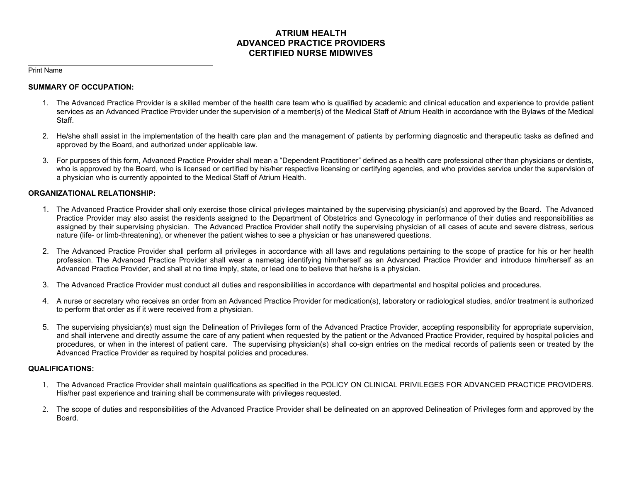# **ATRIUM HEALTH ADVANCED PRACTICE PROVIDERS CERTIFIED NURSE MIDWIVES**

Print Name

#### **SUMMARY OF OCCUPATION:**

- 1. The Advanced Practice Provider is a skilled member of the health care team who is qualified by academic and clinical education and experience to provide patient services as an Advanced Practice Provider under the supervision of a member(s) of the Medical Staff of Atrium Health in accordance with the Bylaws of the Medical Staff.
- 2. He/she shall assist in the implementation of the health care plan and the management of patients by performing diagnostic and therapeutic tasks as defined and approved by the Board, and authorized under applicable law.
- 3. For purposes of this form, Advanced Practice Provider shall mean a "Dependent Practitioner" defined as a health care professional other than physicians or dentists, who is approved by the Board, who is licensed or certified by his/her respective licensing or certifying agencies, and who provides service under the supervision of a physician who is currently appointed to the Medical Staff of Atrium Health.

## **ORGANIZATIONAL RELATIONSHIP:**

- 1. The Advanced Practice Provider shall only exercise those clinical privileges maintained by the supervising physician(s) and approved by the Board. The Advanced Practice Provider may also assist the residents assigned to the Department of Obstetrics and Gynecology in performance of their duties and responsibilities as assigned by their supervising physician. The Advanced Practice Provider shall notify the supervising physician of all cases of acute and severe distress, serious nature (life- or limb-threatening), or whenever the patient wishes to see a physician or has unanswered questions.
- 2. The Advanced Practice Provider shall perform all privileges in accordance with all laws and regulations pertaining to the scope of practice for his or her health profession. The Advanced Practice Provider shall wear a nametag identifying him/herself as an Advanced Practice Provider and introduce him/herself as an Advanced Practice Provider, and shall at no time imply, state, or lead one to believe that he/she is a physician.
- 3. The Advanced Practice Provider must conduct all duties and responsibilities in accordance with departmental and hospital policies and procedures.
- 4. A nurse or secretary who receives an order from an Advanced Practice Provider for medication(s), laboratory or radiological studies, and/or treatment is authorized to perform that order as if it were received from a physician.
- 5. The supervising physician(s) must sign the Delineation of Privileges form of the Advanced Practice Provider, accepting responsibility for appropriate supervision, and shall intervene and directly assume the care of any patient when requested by the patient or the Advanced Practice Provider, required by hospital policies and procedures, or when in the interest of patient care. The supervising physician(s) shall co-sign entries on the medical records of patients seen or treated by the Advanced Practice Provider as required by hospital policies and procedures.

## **QUALIFICATIONS:**

- 1. The Advanced Practice Provider shall maintain qualifications as specified in the POLICY ON CLINICAL PRIVILEGES FOR ADVANCED PRACTICE PROVIDERS. His/her past experience and training shall be commensurate with privileges requested.
- 2. The scope of duties and responsibilities of the Advanced Practice Provider shall be delineated on an approved Delineation of Privileges form and approved by the Board.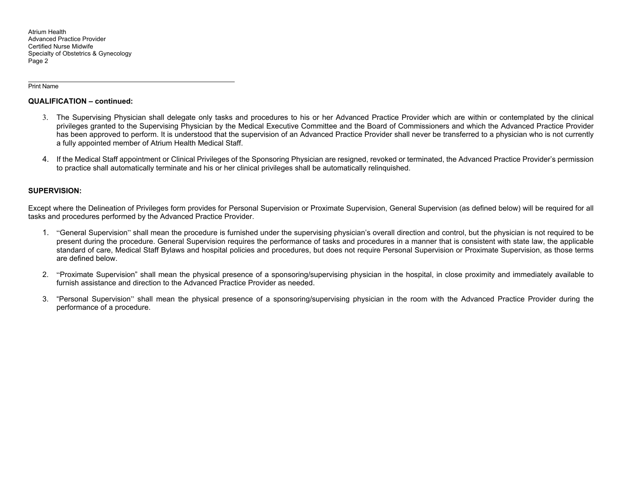#### Print Name

#### **QUALIFICATION – continued:**

- 3. The Supervising Physician shall delegate only tasks and procedures to his or her Advanced Practice Provider which are within or contemplated by the clinical privileges granted to the Supervising Physician by the Medical Executive Committee and the Board of Commissioners and which the Advanced Practice Provider has been approved to perform. It is understood that the supervision of an Advanced Practice Provider shall never be transferred to a physician who is not currently a fully appointed member of Atrium Health Medical Staff.
- 4. If the Medical Staff appointment or Clinical Privileges of the Sponsoring Physician are resigned, revoked or terminated, the Advanced Practice Provider's permission to practice shall automatically terminate and his or her clinical privileges shall be automatically relinquished.

#### **SUPERVISION:**

Except where the Delineation of Privileges form provides for Personal Supervision or Proximate Supervision, General Supervision (as defined below) will be required for all tasks and procedures performed by the Advanced Practice Provider.

- 1. "General Supervision" shall mean the procedure is furnished under the supervising physician's overall direction and control, but the physician is not required to be present during the procedure. General Supervision requires the performance of tasks and procedures in a manner that is consistent with state law, the applicable standard of care, Medical Staff Bylaws and hospital policies and procedures, but does not require Personal Supervision or Proximate Supervision, as those terms are defined below.
- 2. "Proximate Supervision" shall mean the physical presence of a sponsoring/supervising physician in the hospital, in close proximity and immediately available to furnish assistance and direction to the Advanced Practice Provider as needed.
- 3. "Personal Supervision" shall mean the physical presence of a sponsoring/supervising physician in the room with the Advanced Practice Provider during the performance of a procedure.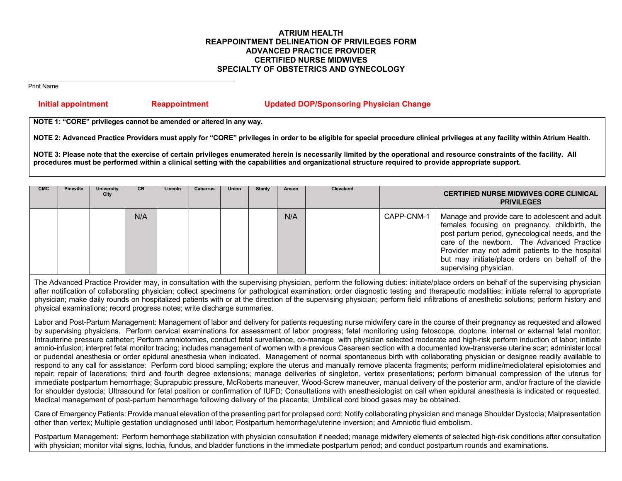## **ATRIUM HEALTH REAPPOINTMENT DELINEATION OF PRIVILEGES FORM ADVANCED PRACTICE PROVIDER CERTIFIED NURSE MIDWIVES SPECIALTY OF OBSTETRICS AND GYNECOLOGY**

Print Name

# **Initial appointment Reappointment Updated DOP/Sponsoring Physician Change**

**NOTE 1: "CORE" privileges cannot be amended or altered in any way.** 

**NOTE 2: Advanced Practice Providers must apply for "CORE" privileges in order to be eligible for special procedure clinical privileges at any facility within Atrium Health.** 

**NOTE 3: Please note that the exercise of certain privileges enumerated herein is necessarily limited by the operational and resource constraints of the facility. All procedures must be performed within a clinical setting with the capabilities and organizational structure required to provide appropriate support.**

| <b>CMC</b> | <b>Pineville</b> | University<br>City | <b>CR</b> | Lincoln | <b>Cabarrus</b> | <b>Union</b> | <b>Stanly</b> | Anson | Cleveland |            | <b>CERTIFIED NURSE MIDWIVES CORE CLINICAL</b><br><b>PRIVILEGES</b>                                                                                                                                                                                                                                                                 |
|------------|------------------|--------------------|-----------|---------|-----------------|--------------|---------------|-------|-----------|------------|------------------------------------------------------------------------------------------------------------------------------------------------------------------------------------------------------------------------------------------------------------------------------------------------------------------------------------|
|            |                  |                    | N/A       |         |                 |              |               | N/A   |           | CAPP-CNM-1 | Manage and provide care to adolescent and adult<br>females focusing on pregnancy, childbirth, the<br>post partum period, gynecological needs, and the<br>care of the newborn. The Advanced Practice<br>Provider may not admit patients to the hospital<br>but may initiate/place orders on behalf of the<br>supervising physician. |

The Advanced Practice Provider may, in consultation with the supervising physician, perform the following duties: initiate/place orders on behalf of the supervising physician after notification of collaborating physician; collect specimens for pathological examination; order diagnostic testing and therapeutic modalities; initiate referral to appropriate physician; make daily rounds on hospitalized patients with or at the direction of the supervising physician; perform field infiltrations of anesthetic solutions; perform history and physical examinations; record progress notes; write discharge summaries.

Labor and Post-Partum Management: Management of labor and delivery for patients requesting nurse midwifery care in the course of their pregnancy as requested and allowed by supervising physicians. Perform cervical examinations for assessment of labor progress; fetal monitoring using fetoscope, doptone, internal or external fetal monitor; Intrauterine pressure catheter; Perform amniotomies, conduct fetal surveillance, co-manage with physician selected moderate and high-risk perform induction of labor; initiate amnio-infusion; interpret fetal monitor tracing; includes management of women with a previous Cesarean section with a documented low-transverse uterine scar; administer local or pudendal anesthesia or order epidural anesthesia when indicated. Management of normal spontaneous birth with collaborating physician or designee readily available to respond to any call for assistance: Perform cord blood sampling; explore the uterus and manually remove placenta fragments; perform midline/mediolateral episiotomies and repair; repair of lacerations; third and fourth degree extensions; manage deliveries of singleton, vertex presentations; perform bimanual compression of the uterus for immediate postpartum hemorrhage; Suprapubic pressure, McRoberts maneuver, Wood-Screw maneuver, manual delivery of the posterior arm, and/or fracture of the clavicle for shoulder dystocia; Ultrasound for fetal position or confirmation of IUFD; Consultations with anesthesiologist on call when epidural anesthesia is indicated or requested. Medical management of post-partum hemorrhage following delivery of the placenta; Umbilical cord blood gases may be obtained.

Care of Emergency Patients: Provide manual elevation of the presenting part for prolapsed cord; Notify collaborating physician and manage Shoulder Dystocia; Malpresentation other than vertex; Multiple gestation undiagnosed until labor; Postpartum hemorrhage/uterine inversion; and Amniotic fluid embolism.

Postpartum Management: Perform hemorrhage stabilization with physician consultation if needed; manage midwifery elements of selected high-risk conditions after consultation with physician; monitor vital signs, lochia, fundus, and bladder functions in the immediate postpartum period; and conduct postpartum rounds and examinations.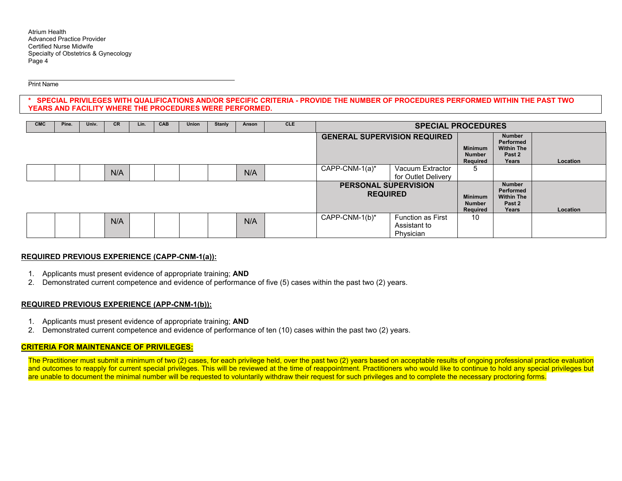#### Print Name

**\* SPECIAL PRIVILEGES WITH QUALIFICATIONS AND/OR SPECIFIC CRITERIA - PROVIDE THE NUMBER OF PROCEDURES PERFORMED WITHIN THE PAST TWO YEARS AND FACILITY WHERE THE PROCEDURES WERE PERFORMED.** 

| <b>CMC</b> | Pine. | Univ. | <b>CR</b> | Lin. | <b>CAB</b> | Union | <b>Stanly</b> | Anson                                          | <b>CLE</b> | <b>SPECIAL PROCEDURES</b>                   |                                                                    |                                             |                                                             |          |
|------------|-------|-------|-----------|------|------------|-------|---------------|------------------------------------------------|------------|---------------------------------------------|--------------------------------------------------------------------|---------------------------------------------|-------------------------------------------------------------|----------|
|            |       |       |           |      |            |       |               |                                                |            | <b>GENERAL SUPERVISION REQUIRED</b>         |                                                                    | <b>Minimum</b><br><b>Number</b><br>Required | Number<br>Performed<br><b>Within The</b><br>Past 2<br>Years | Location |
|            |       |       | N/A       |      |            |       |               | N/A                                            |            | $CAPP-CNM-1(a)^*$                           | Vacuum Extractor<br>for Outlet Delivery                            |                                             |                                                             |          |
|            |       |       |           |      |            |       |               | <b>PERSONAL SUPERVISION</b><br><b>REQUIRED</b> |            | <b>Minimum</b><br><b>Number</b><br>Required | <b>Number</b><br>Performed<br><b>Within The</b><br>Past 2<br>Years | Location                                    |                                                             |          |
|            |       |       | N/A       |      |            |       |               | N/A                                            |            | CAPP-CNM-1(b)*                              | <b>Function as First</b><br>Assistant to<br>Physician              | 10                                          |                                                             |          |

## **REQUIRED PREVIOUS EXPERIENCE (CAPP-CNM-1(a)):**

- 1. Applicants must present evidence of appropriate training; **AND**
- 2. Demonstrated current competence and evidence of performance of five (5) cases within the past two (2) years.

## **REQUIRED PREVIOUS EXPERIENCE (APP-CNM-1(b)):**

- 1. Applicants must present evidence of appropriate training; **AND**
- 2. Demonstrated current competence and evidence of performance of ten (10) cases within the past two (2) years.

## **CRITERIA FOR MAINTENANCE OF PRIVILEGES:**

The Practitioner must submit a minimum of two (2) cases, for each privilege held, over the past two (2) years based on acceptable results of ongoing professional practice evaluation and outcomes to reapply for current special privileges. This will be reviewed at the time of reappointment. Practitioners who would like to continue to hold any special privileges but are unable to document the minimal number will be requested to voluntarily withdraw their request for such privileges and to complete the necessary proctoring forms.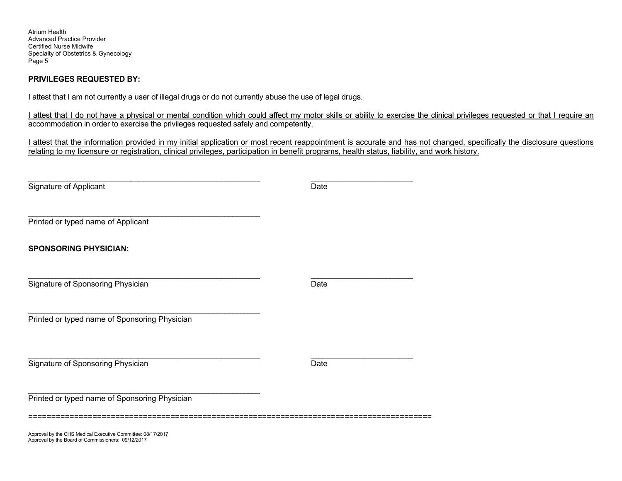Atrium Health Advanced Practice Provider Certified Nurse Midwife Specialty of Obstetrics & Gynecology Page 5

# **PRIVILEGES REQUESTED BY:**

I attest that I am not currently a user of illegal drugs or do not currently abuse the use of legal drugs.

I attest that I do not have a physical or mental condition which could affect my motor skills or ability to exercise the clinical privileges requested or that I require an accommodation in order to exercise the privileges requested safely and competently.

I attest that the information provided in my initial application or most recent reappointment is accurate and has not changed, specifically the disclosure questions relating to my licensure or registration, clinical privileges, participation in benefit programs, health status, liability, and work history.

| Signature of Applicant                                      | Date |  |
|-------------------------------------------------------------|------|--|
| Printed or typed name of Applicant                          |      |  |
| <b>SPONSORING PHYSICIAN:</b>                                |      |  |
| Signature of Sponsoring Physician                           | Date |  |
| Printed or typed name of Sponsoring Physician               |      |  |
| Signature of Sponsoring Physician                           | Date |  |
| Printed or typed name of Sponsoring Physician               |      |  |
| Approval by the CHS Medical Executive Committee: 08/17/2017 |      |  |

Approval by the Board of Commissioners: 09/12/2017